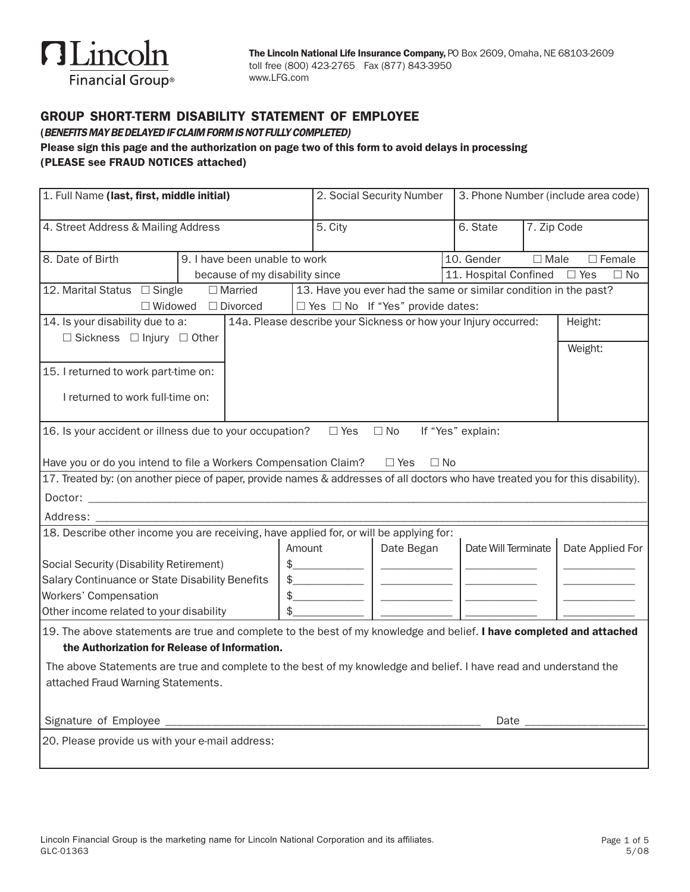

## GROUP SHORT-TERM DISABILITY STATEMENT OF EMPLOYEE

(BENEFITS MAY BE DELAYED IF CLAIM FORM IS NOT FULLY COMPLETED)

#### Please sign this page and the authorization on page two of this form to avoid delays in processing (PLEASE see FRAUD NOTICES attached)

| 1. Full Name (last, first, middle initial)                                                                                                                                                    |                                                                                    | 2. Social Security Number |                                                                                                                      |  | 3. Phone Number (include area code) |             |                         |  |
|-----------------------------------------------------------------------------------------------------------------------------------------------------------------------------------------------|------------------------------------------------------------------------------------|---------------------------|----------------------------------------------------------------------------------------------------------------------|--|-------------------------------------|-------------|-------------------------|--|
| 4. Street Address & Mailing Address                                                                                                                                                           |                                                                                    | 5. City                   |                                                                                                                      |  | 6. State                            | 7. Zip Code |                         |  |
| 8. Date of Birth                                                                                                                                                                              | 9. I have been unable to work                                                      |                           |                                                                                                                      |  | 10. Gender                          | $\Box$ Male | $\square$ Female        |  |
|                                                                                                                                                                                               | because of my disability since                                                     |                           | 11. Hospital Confined                                                                                                |  |                                     |             | $\Box$ No<br>$\Box$ Yes |  |
| 12. Marital Status □ Single                                                                                                                                                                   | 13. Have you ever had the same or similar condition in the past?<br>$\Box$ Married |                           |                                                                                                                      |  |                                     |             |                         |  |
| $\Box$ Widowed $\Box$ Divorced                                                                                                                                                                |                                                                                    |                           | □ Yes □ No If "Yes" provide dates:                                                                                   |  |                                     |             |                         |  |
| 14. Is your disability due to a:<br>□ Sickness □ Injury □ Other                                                                                                                               | 14a. Please describe your Sickness or how your Injury occurred:                    |                           |                                                                                                                      |  |                                     |             | Height:                 |  |
|                                                                                                                                                                                               |                                                                                    |                           |                                                                                                                      |  |                                     |             | Weight:                 |  |
| 15. I returned to work part-time on:                                                                                                                                                          |                                                                                    |                           |                                                                                                                      |  |                                     |             |                         |  |
| I returned to work full-time on:                                                                                                                                                              |                                                                                    |                           |                                                                                                                      |  |                                     |             |                         |  |
| 16. Is your accident or illness due to your occupation?<br>$\Box$ Yes<br>If "Yes" explain:<br>$\Box$ No<br>Have you or do you intend to file a Workers Compensation Claim? □ Yes<br>$\Box$ No |                                                                                    |                           |                                                                                                                      |  |                                     |             |                         |  |
| 17. Treated by: (on another piece of paper, provide names & addresses of all doctors who have treated you for this disability).                                                               |                                                                                    |                           |                                                                                                                      |  |                                     |             |                         |  |
|                                                                                                                                                                                               |                                                                                    |                           |                                                                                                                      |  |                                     |             |                         |  |
|                                                                                                                                                                                               |                                                                                    |                           |                                                                                                                      |  |                                     |             |                         |  |
| 18. Describe other income you are receiving, have applied for, or will be applying for:                                                                                                       |                                                                                    |                           |                                                                                                                      |  |                                     |             |                         |  |
|                                                                                                                                                                                               | Amount                                                                             |                           | Date Began                                                                                                           |  | Date Will Terminate                 |             | Date Applied For        |  |
| Social Security (Disability Retirement)                                                                                                                                                       |                                                                                    | $$$                       |                                                                                                                      |  |                                     |             |                         |  |
| Salary Continuance or State Disability Benefits                                                                                                                                               |                                                                                    | $\frac{1}{2}$             | <u> 1980 - Jan Stein Stein Stein Stein Stein Stein Stein Stein Stein Stein Stein Stein Stein Stein Stein Stein S</u> |  |                                     |             |                         |  |
| Workers' Compensation                                                                                                                                                                         |                                                                                    | $\frac{1}{2}$             |                                                                                                                      |  |                                     |             |                         |  |
| Other income related to your disability                                                                                                                                                       | $\frac{1}{2}$                                                                      |                           |                                                                                                                      |  |                                     |             |                         |  |
| 19. The above statements are true and complete to the best of my knowledge and belief. I have completed and attached                                                                          |                                                                                    |                           |                                                                                                                      |  |                                     |             |                         |  |
| the Authorization for Release of Information.                                                                                                                                                 |                                                                                    |                           |                                                                                                                      |  |                                     |             |                         |  |
| The above Statements are true and complete to the best of my knowledge and belief. I have read and understand the                                                                             |                                                                                    |                           |                                                                                                                      |  |                                     |             |                         |  |
| attached Fraud Warning Statements.                                                                                                                                                            |                                                                                    |                           |                                                                                                                      |  |                                     |             |                         |  |
|                                                                                                                                                                                               |                                                                                    |                           |                                                                                                                      |  |                                     |             |                         |  |
|                                                                                                                                                                                               |                                                                                    |                           |                                                                                                                      |  |                                     |             |                         |  |
| 20. Please provide us with your e-mail address:                                                                                                                                               |                                                                                    |                           |                                                                                                                      |  |                                     |             |                         |  |
|                                                                                                                                                                                               |                                                                                    |                           |                                                                                                                      |  |                                     |             |                         |  |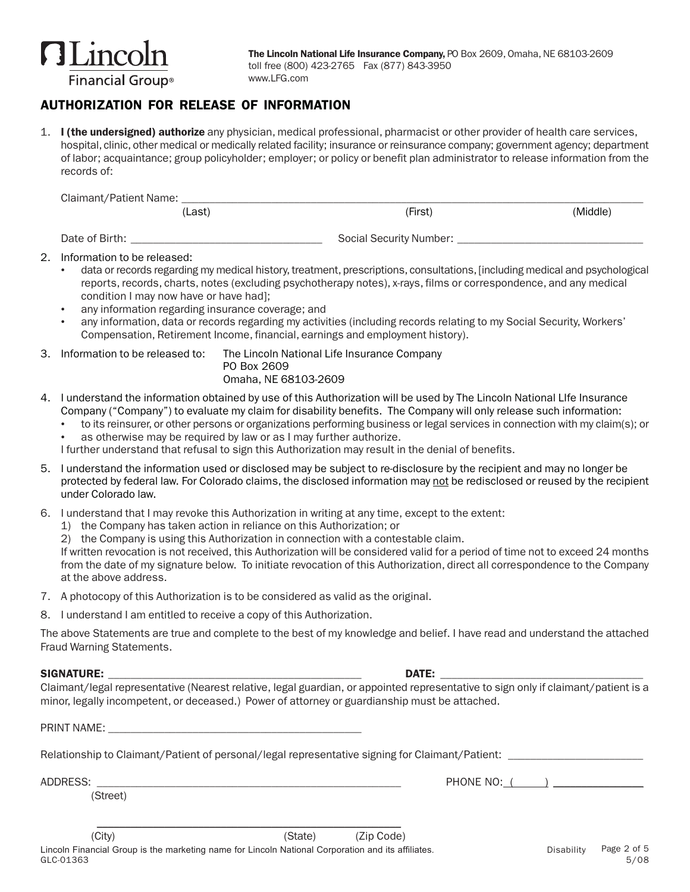

# AUTHORIZATION FOR RELEASE OF INFORMATION

1. I (the undersigned) authorize any physician, medical professional, pharmacist or other provider of health care services, hospital, clinic, other medical or medically related facility; insurance or reinsurance company; government agency; department of labor; acquaintance; group policyholder; employer; or policy or benefit plan administrator to release information from the records of:

| Claimant.<br>t/Patient Name: |        |        |          |
|------------------------------|--------|--------|----------|
|                              | (Last) | [First | (Middle) |
|                              |        |        |          |

Date of Birth: \_\_\_\_\_\_\_\_\_\_\_\_\_\_\_\_\_\_\_\_\_\_\_\_\_\_\_\_\_\_\_\_\_\_ Social Security Number: \_\_\_\_\_\_\_\_\_\_\_\_\_\_\_\_\_\_\_\_\_\_\_\_\_\_\_\_\_\_\_\_\_

- 2. Information to be released:
	- data or records regarding my medical history, treatment, prescriptions, consultations, [including medical and psychological reports, records, charts, notes (excluding psychotherapy notes), x-rays, films or correspondence, and any medical condition I may now have or have had];
	- any information regarding insurance coverage; and
	- any information, data or records regarding my activities (including records relating to my Social Security, Workers' Compensation, Retirement Income, financial, earnings and employment history).
- 3. Information to be released to: The Lincoln National Life Insurance Company

PO Box 2609

### Omaha, NE 68103-2609

- 4. I understand the information obtained by use of this Authorization will be used by The Lincoln National LIfe Insurance Company ("Company") to evaluate my claim for disability benefits. The Company will only release such information:
	- to its reinsurer, or other persons or organizations performing business or legal services in connection with my claim(s); or as otherwise may be required by law or as I may further authorize.
	- I further understand that refusal to sign this Authorization may result in the denial of benefits.
- 5. I understand the information used or disclosed may be subject to re-disclosure by the recipient and may no longer be protected by federal law. For Colorado claims, the disclosed information may not be redisclosed or reused by the recipient under Colorado law.
- 6. I understand that I may revoke this Authorization in writing at any time, except to the extent:
	- 1) the Company has taken action in reliance on this Authorization; or
	- 2) the Company is using this Authorization in connection with a contestable claim.

If written revocation is not received, this Authorization will be considered valid for a period of time not to exceed 24 months from the date of my signature below. To initiate revocation of this Authorization, direct all correspondence to the Company at the above address.

- 7. A photocopy of this Authorization is to be considered as valid as the original.
- 8. I understand I am entitled to receive a copy of this Authorization.

The above Statements are true and complete to the best of my knowledge and belief. I have read and understand the attached Fraud Warning Statements.

#### SIGNATURE: \_\_\_\_\_\_\_\_\_\_\_\_\_\_\_\_\_\_\_\_\_\_\_\_\_\_\_\_\_\_\_\_\_\_\_\_\_\_\_\_\_\_\_\_\_ DATE: \_\_\_\_\_\_\_\_\_\_\_\_\_\_\_\_\_\_\_\_\_\_\_\_\_\_\_\_\_\_\_\_\_\_\_\_

Claimant/legal representative (Nearest relative, legal guardian, or appointed representative to sign only if claimant/patient is a minor, legally incompetent, or deceased.) Power of attorney or guardianship must be attached.

| PRINT NAMF |  |
|------------|--|
|------------|--|

Relationship to Claimant/Patient of personal/legal representative signing for Claimant/Patient:

ADDRESS: AND RESS:

(Street)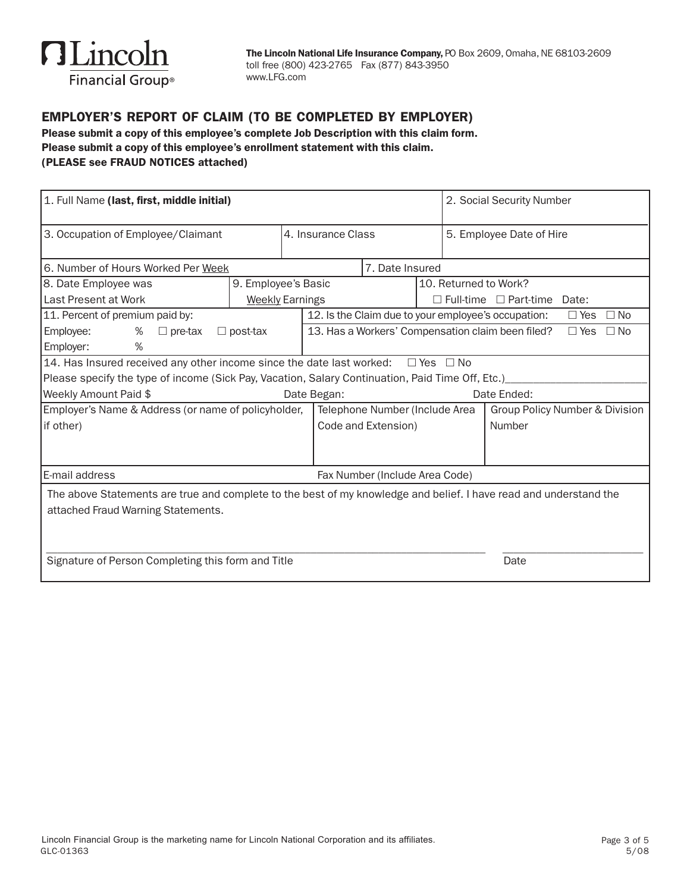

# EMPLOYER'S REPORT OF CLAIM (TO BE COMPLETED BY EMPLOYER)

Please submit a copy of this employee's complete Job Description with this claim form. Please submit a copy of this employee's enrollment statement with this claim. (PLEASE see FRAUD NOTICES attached)

| 1. Full Name (last, first, middle initial)                                                                                                              |                        |                                                   |                               |                                |            |                                   | 2. Social Security Number      |  |  |
|---------------------------------------------------------------------------------------------------------------------------------------------------------|------------------------|---------------------------------------------------|-------------------------------|--------------------------------|------------|-----------------------------------|--------------------------------|--|--|
| 3. Occupation of Employee/Claimant                                                                                                                      |                        |                                                   | 4. Insurance Class            |                                |            | 5. Employee Date of Hire          |                                |  |  |
| 6. Number of Hours Worked Per Week                                                                                                                      |                        |                                                   |                               | 7. Date Insured                |            |                                   |                                |  |  |
| 8. Date Employee was                                                                                                                                    |                        | 9. Employee's Basic<br>10. Returned to Work?      |                               |                                |            |                                   |                                |  |  |
| Last Present at Work                                                                                                                                    | <b>Weekly Earnings</b> |                                                   |                               |                                |            | $\Box$ Full-time $\Box$ Part-time | Date:                          |  |  |
| 11. Percent of premium paid by:<br>12. Is the Claim due to your employee's occupation:                                                                  |                        |                                                   |                               |                                | $\Box$ Yes | $\Box$ No                         |                                |  |  |
| Employee:<br>%<br>$\Box$ pre-tax                                                                                                                        | $\Box$ post-tax        | 13. Has a Workers' Compensation claim been filed? |                               |                                |            | $\Box$ Yes                        | $\Box$ No                      |  |  |
| Employer:<br>%                                                                                                                                          |                        |                                                   |                               |                                |            |                                   |                                |  |  |
| 14. Has Insured received any other income since the date last worked:                                                                                   |                        |                                                   |                               |                                |            | $\Box$ Yes $\Box$ No              |                                |  |  |
| Please specify the type of income (Sick Pay, Vacation, Salary Continuation, Paid Time Off, Etc.)                                                        |                        |                                                   |                               |                                |            |                                   |                                |  |  |
| Weekly Amount Paid \$<br>Date Ended:<br>Date Began:                                                                                                     |                        |                                                   |                               |                                |            |                                   |                                |  |  |
| Employer's Name & Address (or name of policyholder,                                                                                                     |                        |                                                   |                               | Telephone Number (Include Area |            |                                   | Group Policy Number & Division |  |  |
| if other)                                                                                                                                               |                        |                                                   | Code and Extension)<br>Number |                                |            |                                   |                                |  |  |
|                                                                                                                                                         |                        |                                                   |                               |                                |            |                                   |                                |  |  |
|                                                                                                                                                         |                        |                                                   |                               |                                |            |                                   |                                |  |  |
| E-mail address                                                                                                                                          |                        |                                                   |                               | Fax Number (Include Area Code) |            |                                   |                                |  |  |
| The above Statements are true and complete to the best of my knowledge and belief. I have read and understand the<br>attached Fraud Warning Statements. |                        |                                                   |                               |                                |            |                                   |                                |  |  |
| Signature of Person Completing this form and Title                                                                                                      |                        |                                                   |                               |                                |            |                                   | Date                           |  |  |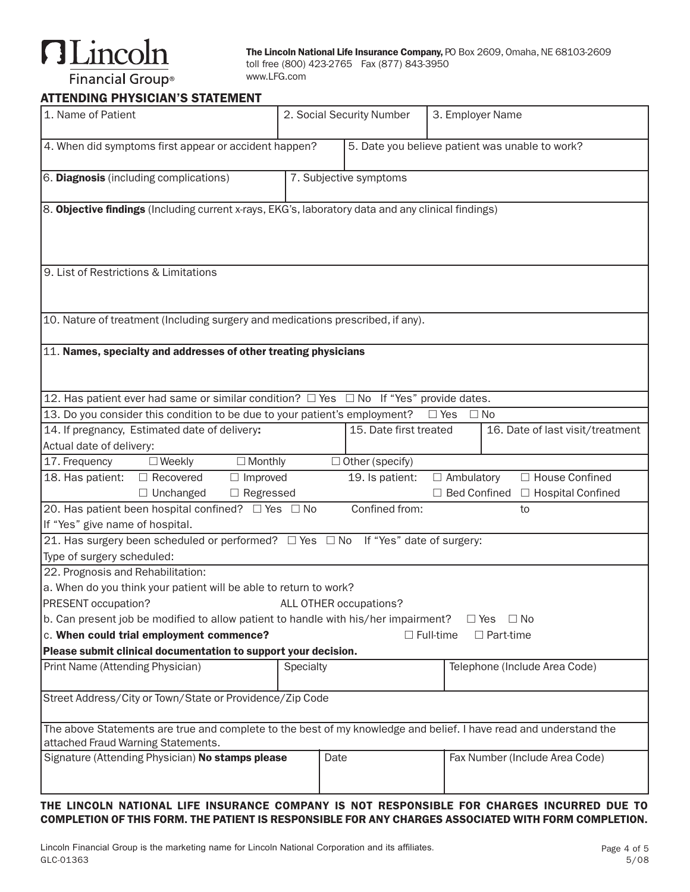

The Lincoln National Life Insurance Company, PO Box 2609, Omaha, NE 68103-2609 toll free (800) 423-2765 Fax (877) 843-3950 www.LFG.com

Financial Group®

| <b>ATTENDING PHYSICIAN'S STATEMENT</b>                                                                                                                  |           |                           |                                                                                |  |  |  |  |
|---------------------------------------------------------------------------------------------------------------------------------------------------------|-----------|---------------------------|--------------------------------------------------------------------------------|--|--|--|--|
| 1. Name of Patient                                                                                                                                      |           | 2. Social Security Number | 3. Employer Name                                                               |  |  |  |  |
| 4. When did symptoms first appear or accident happen?                                                                                                   |           |                           | 5. Date you believe patient was unable to work?                                |  |  |  |  |
| 6. Diagnosis (including complications)                                                                                                                  |           | 7. Subjective symptoms    |                                                                                |  |  |  |  |
| 8. Objective findings (Including current x-rays, EKG's, laboratory data and any clinical findings)                                                      |           |                           |                                                                                |  |  |  |  |
| 9. List of Restrictions & Limitations                                                                                                                   |           |                           |                                                                                |  |  |  |  |
| 10. Nature of treatment (Including surgery and medications prescribed, if any).                                                                         |           |                           |                                                                                |  |  |  |  |
| 11. Names, specialty and addresses of other treating physicians                                                                                         |           |                           |                                                                                |  |  |  |  |
| 12. Has patient ever had same or similar condition? □ Yes □ No If "Yes" provide dates.                                                                  |           |                           |                                                                                |  |  |  |  |
| 13. Do you consider this condition to be due to your patient's employment?                                                                              |           |                           | $\Box$ Yes $\Box$ No                                                           |  |  |  |  |
| 14. If pregnancy, Estimated date of delivery:                                                                                                           |           | 15. Date first treated    | 16. Date of last visit/treatment                                               |  |  |  |  |
| Actual date of delivery:                                                                                                                                |           |                           |                                                                                |  |  |  |  |
| 17. Frequency<br>$\square$ Weekly<br>$\Box$ Monthly                                                                                                     |           | $\Box$ Other (specify)    |                                                                                |  |  |  |  |
| 18. Has patient:<br>$\Box$ Improved<br>$\Box$ Recovered<br>$\Box$ Unchanged<br>$\Box$ Regressed                                                         |           | 19. Is patient:           | $\Box$ Ambulatory<br>□ House Confined<br>□ Bed Confined<br>□ Hospital Confined |  |  |  |  |
| 20. Has patient been hospital confined? $\Box$ Yes $\Box$ No<br>Confined from:<br>to                                                                    |           |                           |                                                                                |  |  |  |  |
| If "Yes" give name of hospital.                                                                                                                         |           |                           |                                                                                |  |  |  |  |
| 21. Has surgery been scheduled or performed? □ Yes □ No If "Yes" date of surgery:                                                                       |           |                           |                                                                                |  |  |  |  |
| Type of surgery scheduled:                                                                                                                              |           |                           |                                                                                |  |  |  |  |
| 22. Prognosis and Rehabilitation:                                                                                                                       |           |                           |                                                                                |  |  |  |  |
| a. When do you think your patient will be able to return to work?                                                                                       |           |                           |                                                                                |  |  |  |  |
| PRESENT occupation?<br>ALL OTHER occupations?                                                                                                           |           |                           |                                                                                |  |  |  |  |
| b. Can present job be modified to allow patient to handle with his/her impairment?<br>$\Box$ No<br>$\Box$ Yes                                           |           |                           |                                                                                |  |  |  |  |
| c. When could trial employment commence?<br>$\Box$ Full-time<br>$\Box$ Part-time                                                                        |           |                           |                                                                                |  |  |  |  |
| Please submit clinical documentation to support your decision.                                                                                          |           |                           |                                                                                |  |  |  |  |
| Print Name (Attending Physician)                                                                                                                        | Specialty |                           | Telephone (Include Area Code)                                                  |  |  |  |  |
| Street Address/City or Town/State or Providence/Zip Code                                                                                                |           |                           |                                                                                |  |  |  |  |
| The above Statements are true and complete to the best of my knowledge and belief. I have read and understand the<br>attached Fraud Warning Statements. |           |                           |                                                                                |  |  |  |  |
| Signature (Attending Physician) No stamps please                                                                                                        |           | Date                      | Fax Number (Include Area Code)                                                 |  |  |  |  |

#### THE LINCOLN NATIONAL LIFE INSURANCE COMPANY IS NOT RESPONSIBLE FOR CHARGES INCURRED DUE TO COMPLETION OF THIS FORM. THE PATIENT IS RESPONSIBLE FOR ANY CHARGES ASSOCIATED WITH FORM COMPLETION.